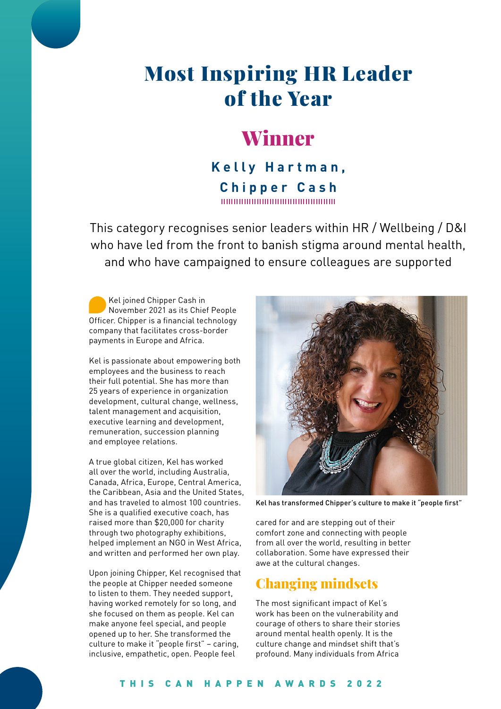# Most Inspiring HR Leader of the Year

## Winner

**Kelly Hartman, Chipper Cash** 

This category recognises senior leaders within HR / Wellbeing / D&I who have led from the front to banish stigma around mental health, and who have campaigned to ensure colleagues are supported

Kel joined Chipper Cash in November 2021 as its Chief People Officer. Chipper is a financial technology company that facilitates cross-border payments in Europe and Africa.

Kel is passionate about empowering both employees and the business to reach their full potential. She has more than 25 years of experience in organization development, cultural change, wellness, talent management and acquisition, executive learning and development, remuneration, succession planning and employee relations.

A true global citizen, Kel has worked all over the world, including Australia, Canada, Africa, Europe, Central America, the Caribbean, Asia and the United States, and has traveled to almost 100 countries. She is a qualified executive coach, has raised more than \$20,000 for charity through two photography exhibitions, helped implement an NGO in West Africa, and written and performed her own play.

Upon joining Chipper, Kel recognised that the people at Chipper needed someone to listen to them. They needed support, having worked remotely for so long, and she focused on them as people. Kel can make anyone feel special, and people opened up to her. She transformed the culture to make it "people first" – caring, inclusive, empathetic, open. People feel



Kel has transformed Chipper's culture to make it "people first"

cared for and are stepping out of their comfort zone and connecting with people from all over the world, resulting in better collaboration. Some have expressed their awe at the cultural changes.

### Changing mindsets

The most significant impact of Kel's work has been on the vulnerability and courage of others to share their stories around mental health openly. It is the culture change and mindset shift that's profound. Many individuals from Africa

#### THIS CAN HAPPEN AWARDS 2022